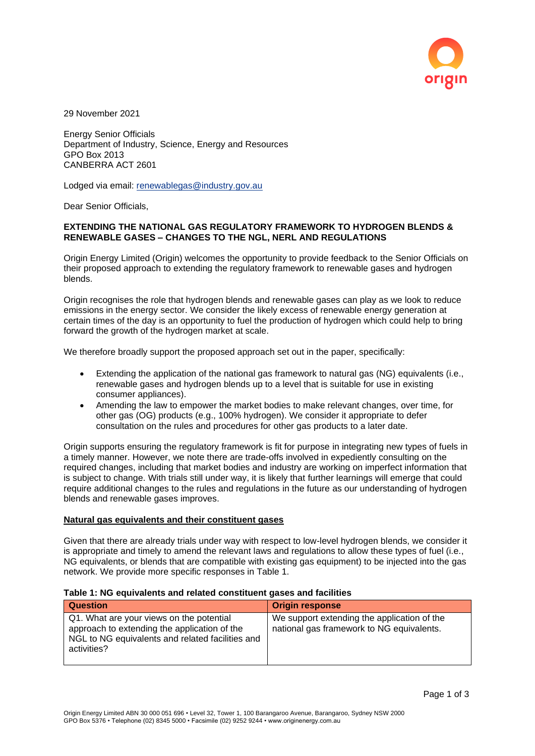

29 November 2021

Energy Senior Officials Department of Industry, Science, Energy and Resources GPO Box 2013 CANBERRA ACT 2601

Lodged via email: [renewablegas@industry.gov.au](mailto:renewablegas@industry.gov.au)

Dear Senior Officials,

## **EXTENDING THE NATIONAL GAS REGULATORY FRAMEWORK TO HYDROGEN BLENDS & RENEWABLE GASES – CHANGES TO THE NGL, NERL AND REGULATIONS**

Origin Energy Limited (Origin) welcomes the opportunity to provide feedback to the Senior Officials on their proposed approach to extending the regulatory framework to renewable gases and hydrogen blends.

Origin recognises the role that hydrogen blends and renewable gases can play as we look to reduce emissions in the energy sector. We consider the likely excess of renewable energy generation at certain times of the day is an opportunity to fuel the production of hydrogen which could help to bring forward the growth of the hydrogen market at scale.

We therefore broadly support the proposed approach set out in the paper, specifically:

- Extending the application of the national gas framework to natural gas (NG) equivalents (i.e., renewable gases and hydrogen blends up to a level that is suitable for use in existing consumer appliances).
- Amending the law to empower the market bodies to make relevant changes, over time, for other gas (OG) products (e.g., 100% hydrogen). We consider it appropriate to defer consultation on the rules and procedures for other gas products to a later date.

Origin supports ensuring the regulatory framework is fit for purpose in integrating new types of fuels in a timely manner. However, we note there are trade-offs involved in expediently consulting on the required changes, including that market bodies and industry are working on imperfect information that is subject to change. With trials still under way, it is likely that further learnings will emerge that could require additional changes to the rules and regulations in the future as our understanding of hydrogen blends and renewable gases improves.

## **Natural gas equivalents and their constituent gases**

Given that there are already trials under way with respect to low-level hydrogen blends, we consider it is appropriate and timely to amend the relevant laws and regulations to allow these types of fuel (i.e., NG equivalents, or blends that are compatible with existing gas equipment) to be injected into the gas network. We provide more specific responses in Table 1.

## **Table 1: NG equivalents and related constituent gases and facilities**

| <b>Question</b>                                                                                                                                             | <b>Origin response</b>                                                                   |
|-------------------------------------------------------------------------------------------------------------------------------------------------------------|------------------------------------------------------------------------------------------|
| Q1. What are your views on the potential<br>approach to extending the application of the<br>NGL to NG equivalents and related facilities and<br>activities? | We support extending the application of the<br>national gas framework to NG equivalents. |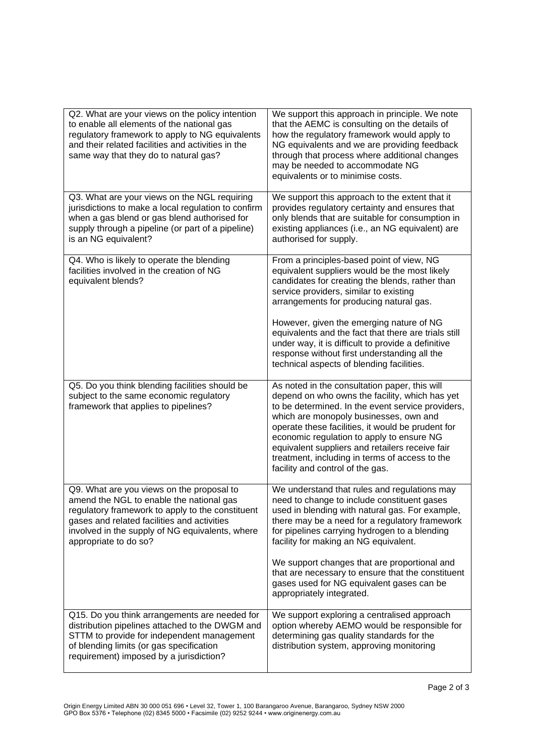| Q2. What are your views on the policy intention<br>to enable all elements of the national gas<br>regulatory framework to apply to NG equivalents<br>and their related facilities and activities in the<br>same way that they do to natural gas?                      | We support this approach in principle. We note<br>that the AEMC is consulting on the details of<br>how the regulatory framework would apply to<br>NG equivalents and we are providing feedback<br>through that process where additional changes<br>may be needed to accommodate NG<br>equivalents or to minimise costs.                                                                                                                   |
|----------------------------------------------------------------------------------------------------------------------------------------------------------------------------------------------------------------------------------------------------------------------|-------------------------------------------------------------------------------------------------------------------------------------------------------------------------------------------------------------------------------------------------------------------------------------------------------------------------------------------------------------------------------------------------------------------------------------------|
| Q3. What are your views on the NGL requiring<br>jurisdictions to make a local regulation to confirm<br>when a gas blend or gas blend authorised for<br>supply through a pipeline (or part of a pipeline)<br>is an NG equivalent?                                     | We support this approach to the extent that it<br>provides regulatory certainty and ensures that<br>only blends that are suitable for consumption in<br>existing appliances (i.e., an NG equivalent) are<br>authorised for supply.                                                                                                                                                                                                        |
| Q4. Who is likely to operate the blending<br>facilities involved in the creation of NG<br>equivalent blends?                                                                                                                                                         | From a principles-based point of view, NG<br>equivalent suppliers would be the most likely<br>candidates for creating the blends, rather than<br>service providers, similar to existing<br>arrangements for producing natural gas.                                                                                                                                                                                                        |
|                                                                                                                                                                                                                                                                      | However, given the emerging nature of NG<br>equivalents and the fact that there are trials still<br>under way, it is difficult to provide a definitive<br>response without first understanding all the<br>technical aspects of blending facilities.                                                                                                                                                                                       |
| Q5. Do you think blending facilities should be<br>subject to the same economic regulatory<br>framework that applies to pipelines?                                                                                                                                    | As noted in the consultation paper, this will<br>depend on who owns the facility, which has yet<br>to be determined. In the event service providers,<br>which are monopoly businesses, own and<br>operate these facilities, it would be prudent for<br>economic regulation to apply to ensure NG<br>equivalent suppliers and retailers receive fair<br>treatment, including in terms of access to the<br>facility and control of the gas. |
| Q9. What are you views on the proposal to<br>amend the NGL to enable the national gas<br>regulatory framework to apply to the constituent<br>gases and related facilities and activities<br>involved in the supply of NG equivalents, where<br>appropriate to do so? | We understand that rules and regulations may<br>need to change to include constituent gases<br>used in blending with natural gas. For example,<br>there may be a need for a regulatory framework<br>for pipelines carrying hydrogen to a blending<br>facility for making an NG equivalent.                                                                                                                                                |
|                                                                                                                                                                                                                                                                      | We support changes that are proportional and<br>that are necessary to ensure that the constituent<br>gases used for NG equivalent gases can be<br>appropriately integrated.                                                                                                                                                                                                                                                               |
| Q15. Do you think arrangements are needed for<br>distribution pipelines attached to the DWGM and<br>STTM to provide for independent management<br>of blending limits (or gas specification<br>requirement) imposed by a jurisdiction?                                | We support exploring a centralised approach<br>option whereby AEMO would be responsible for<br>determining gas quality standards for the<br>distribution system, approving monitoring                                                                                                                                                                                                                                                     |